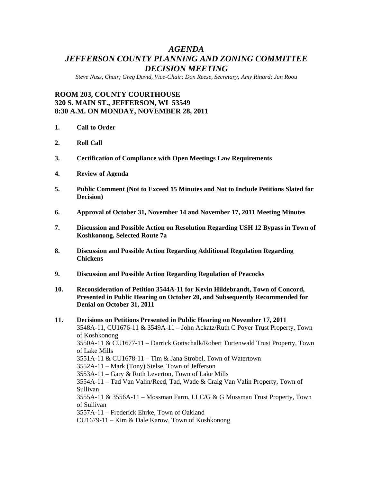# *AGENDA JEFFERSON COUNTY PLANNING AND ZONING COMMITTEE DECISION MEETING*

*Steve Nass, Chair; Greg David, Vice-Chair; Don Reese, Secretary; Amy Rinard; Jan Roou* 

# **ROOM 203, COUNTY COURTHOUSE 320 S. MAIN ST., JEFFERSON, WI 53549 8:30 A.M. ON MONDAY, NOVEMBER 28, 2011**

- **1. Call to Order**
- **2. Roll Call**
- **3. Certification of Compliance with Open Meetings Law Requirements**
- **4. Review of Agenda**
- **5. Public Comment (Not to Exceed 15 Minutes and Not to Include Petitions Slated for Decision)**
- **6. Approval of October 31, November 14 and November 17, 2011 Meeting Minutes**
- **7. Discussion and Possible Action on Resolution Regarding USH 12 Bypass in Town of Koshkonong, Selected Route 7a**
- **8. Discussion and Possible Action Regarding Additional Regulation Regarding Chickens**
- **9. Discussion and Possible Action Regarding Regulation of Peacocks**
- **10. Reconsideration of Petition 3544A-11 for Kevin Hildebrandt, Town of Concord, Presented in Public Hearing on October 20, and Subsequently Recommended for Denial on October 31, 2011**

# **11. Decisions on Petitions Presented in Public Hearing on November 17, 2011**  3548A-11, CU1676-11 & 3549A-11 – John Ackatz/Ruth C Poyer Trust Property, Town of Koshkonong 3550A-11 & CU1677-11 – Darrick Gottschalk/Robert Turtenwald Trust Property, Town of Lake Mills 3551A-11 & CU1678-11 – Tim & Jana Strobel, Town of Watertown 3552A-11 – Mark (Tony) Stelse, Town of Jefferson 3553A-11 – Gary & Ruth Leverton, Town of Lake Mills 3554A-11 – Tad Van Valin/Reed, Tad, Wade & Craig Van Valin Property, Town of Sullivan 3555A-11 & 3556A-11 – Mossman Farm, LLC/G & G Mossman Trust Property, Town of Sullivan 3557A-11 – Frederick Ehrke, Town of Oakland CU1679-11 – Kim & Dale Karow, Town of Koshkonong